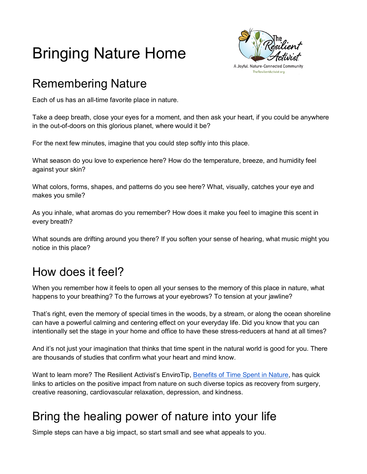# Bringing Nature Home



#### Remembering Nature

Each of us has an all-time favorite place in nature.

Take a deep breath, close your eyes for a moment, and then ask your heart, if you could be anywhere in the out-of-doors on this glorious planet, where would it be?

For the next few minutes, imagine that you could step softly into this place.

What season do you love to experience here? How do the temperature, breeze, and humidity feel against your skin?

What colors, forms, shapes, and patterns do you see here? What, visually, catches your eye and makes you smile?

As you inhale, what aromas do you remember? How does it make you feel to imagine this scent in every breath?

What sounds are drifting around you there? If you soften your sense of hearing, what music might you notice in this place?

## How does it feel?

When you remember how it feels to open all your senses to the memory of this place in nature, what happens to your breathing? To the furrows at your eyebrows? To tension at your jawline?

That's right, even the memory of special times in the woods, by a stream, or along the ocean shoreline can have a powerful calming and centering effect on your everyday life. Did you know that you can intentionally set the stage in your home and office to have these stress-reducers at hand at all times?

And it's not just your imagination that thinks that time spent in the natural world is good for you. There are thousands of studies that confirm what your heart and mind know.

Want to learn more? The Resilient Activist's EnviroTip, [Benefits of Time Spent in Nature,](https://www.theresilientactivist.org/benefits-of-time-spent-in-nature/) has quick links to articles on the positive impact from nature on such diverse topics as recovery from surgery, creative reasoning, cardiovascular relaxation, depression, and kindness.

## Bring the healing power of nature into your life

Simple steps can have a big impact, so start small and see what appeals to you.